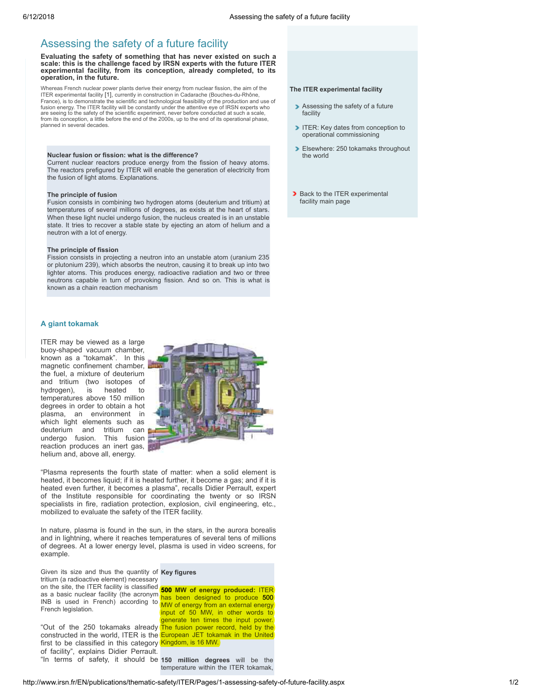# Assessing the safety of a future facility

Evaluating the safety of something that has never existed on such a scale: this is the challenge faced by IRSN experts with the future ITER experimental facility, from its conception, already completed, to its operation, in the future.

Whereas French nuclear power plants derive their energy from nuclear fission, the aim of the ITER experimental facility [\[1\],](#page-1-0) currently in construction in Cadarache (Bouches-du-Rhône, France), is to demonstrate the scientific and technological feasibility of the production and use of fusion energy. The ITER facility will be constantly under the attentive eye of IRSN experts who are seeing to the safety of the scientific experiment, never before conducted at such a scale, from its conception, a little before the end of the 2000s, up to the end of its operational phase, planned in several decades.

#### Nuclear fusion or fission: what is the difference?

Current nuclear reactors produce energy from the fission of heavy atoms. The reactors prefigured by ITER will enable the generation of electricity from the fusion of light atoms. Explanations.

#### The principle of fusion

Fusion consists in combining two hydrogen atoms (deuterium and tritium) at temperatures of several millions of degrees, as exists at the heart of stars. When these light nuclei undergo fusion, the nucleus created is in an unstable state. It tries to recover a stable state by ejecting an atom of helium and a neutron with a lot of energy.

#### The principle of fission

Fission consists in projecting a neutron into an unstable atom (uranium 235 or plutonium 239), which absorbs the neutron, causing it to break up into two lighter atoms. This produces energy, radioactive radiation and two or three neutrons capable in turn of provoking fission. And so on. This is what is known as a chain reaction mechanism

## A giant tokamak

ITER may be viewed as a large buoy-shaped vacuum chamber, known as a "tokamak". In this magnetic confinement chamber, the fuel, a mixture of deuterium and tritium (two isotopes of hydrogen), is heated to is heated to temperatures above 150 million degrees in order to obtain a hot plasma, an environment in which light elements such as deuterium and tritium can undergo fusion. This fusion reaction produces an inert gas, helium and, above all, energy.



"Plasma represents the fourth state of matter: when a solid element is heated, it becomes liquid; if it is heated further, it become a gas; and if it is heated even further, it becomes a plasma", recalls Didier Perrault, expert of the Institute responsible for coordinating the twenty or so IRSN specialists in fire, radiation protection, explosion, civil engineering, etc., mobilized to evaluate the safety of the ITER facility.

In nature, plasma is found in the sun, in the stars, in the aurora borealis and in lightning, where it reaches temperatures of several tens of millions of degrees. At a lower energy level, plasma is used in video screens, for example.

Given its size and thus the quantity of Key figures on the site, the ITER facility is classified **500 MW of energy produced: ITER** as a basic nuclear facility (the acronym  $\frac{1}{\sqrt{2}}$  has been designed to produce  $\frac{500}{\sqrt{2}}$ INB is used in French) according to MW of energy from an external energy tritium (a radioactive element) necessary French legislation.

constructed in the world, ITER is the **European JET tokamak in the United** first to be classified in this category Kingdom, is 16 MW. "In terms of safety, it should be 150 million degrees will be the of facility", explains Didier Perrault.

input of 50 MW, in other words to generate ten times the input power. "Out of the 250 tokamaks already The fusion power record, held by the

temperature within the ITER tokamak,

### The ITER experimental facility

- Assessing the safety of a future facility
- ITER: Key dates from conception to operational [commissioning](http://www.irsn.fr/EN/publications/thematic-safety/ITER/Pages/2-key-dates.aspx)
- [Elsewhere:](http://www.irsn.fr/EN/publications/thematic-safety/ITER/Pages/3-250-tokamaks-throughout-the-world.aspx) 250 tokamaks throughout the world
- Back to the ITER [experimental](http://www.irsn.fr/EN/publications/thematic-safety/ITER/Pages/overview.aspx) facility main page